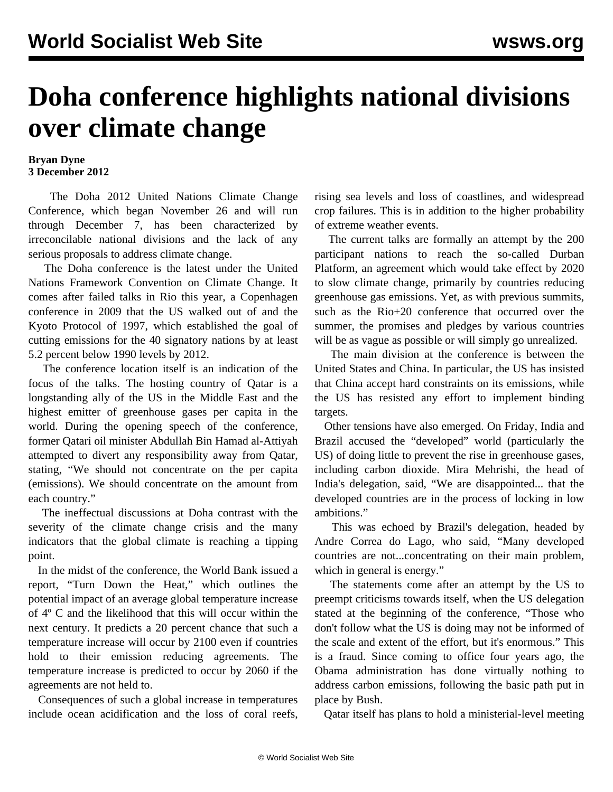## **Doha conference highlights national divisions over climate change**

## **Bryan Dyne 3 December 2012**

 The Doha 2012 United Nations Climate Change Conference, which began November 26 and will run through December 7, has been characterized by irreconcilable national divisions and the lack of any serious proposals to address climate change.

 The Doha conference is the latest under the United Nations Framework Convention on Climate Change. It comes after failed talks in Rio this year, a Copenhagen conference in 2009 that the US walked out of and the Kyoto Protocol of 1997, which established the goal of cutting emissions for the 40 signatory nations by at least 5.2 percent below 1990 levels by 2012.

 The conference location itself is an indication of the focus of the talks. The hosting country of Qatar is a longstanding ally of the US in the Middle East and the highest emitter of greenhouse gases per capita in the world. During the opening speech of the conference, former Qatari oil minister Abdullah Bin Hamad al-Attiyah attempted to divert any responsibility away from Qatar, stating, "We should not concentrate on the per capita (emissions). We should concentrate on the amount from each country."

 The ineffectual discussions at Doha contrast with the severity of the climate change crisis and the many indicators that the global climate is reaching a tipping point.

 In the midst of the conference, the World Bank issued a report, "Turn Down the Heat," which outlines the potential impact of an average global temperature increase of 4º C and the likelihood that this will occur within the next century. It predicts a 20 percent chance that such a temperature increase will occur by 2100 even if countries hold to their emission reducing agreements. The temperature increase is predicted to occur by 2060 if the agreements are not held to.

 Consequences of such a global increase in temperatures include ocean acidification and the loss of coral reefs, rising sea levels and loss of coastlines, and widespread crop failures. This is in addition to the higher probability of extreme weather events.

 The current talks are formally an attempt by the 200 participant nations to reach the so-called Durban Platform, an agreement which would take effect by 2020 to slow climate change, primarily by countries reducing greenhouse gas emissions. Yet, as with previous summits, such as the Rio+20 conference that occurred over the summer, the promises and pledges by various countries will be as vague as possible or will simply go unrealized.

 The main division at the conference is between the United States and China. In particular, the US has insisted that China accept hard constraints on its emissions, while the US has resisted any effort to implement binding targets.

 Other tensions have also emerged. On Friday, India and Brazil accused the "developed" world (particularly the US) of doing little to prevent the rise in greenhouse gases, including carbon dioxide. Mira Mehrishi, the head of India's delegation, said, "We are disappointed... that the developed countries are in the process of locking in low ambitions."

 This was echoed by Brazil's delegation, headed by Andre Correa do Lago, who said, "Many developed countries are not...concentrating on their main problem, which in general is energy."

 The statements come after an attempt by the US to preempt criticisms towards itself, when the US delegation stated at the beginning of the conference, "Those who don't follow what the US is doing may not be informed of the scale and extent of the effort, but it's enormous." This is a fraud. Since coming to office four years ago, the Obama administration has done virtually nothing to address carbon emissions, following the basic path put in place by Bush.

Qatar itself has plans to hold a ministerial-level meeting